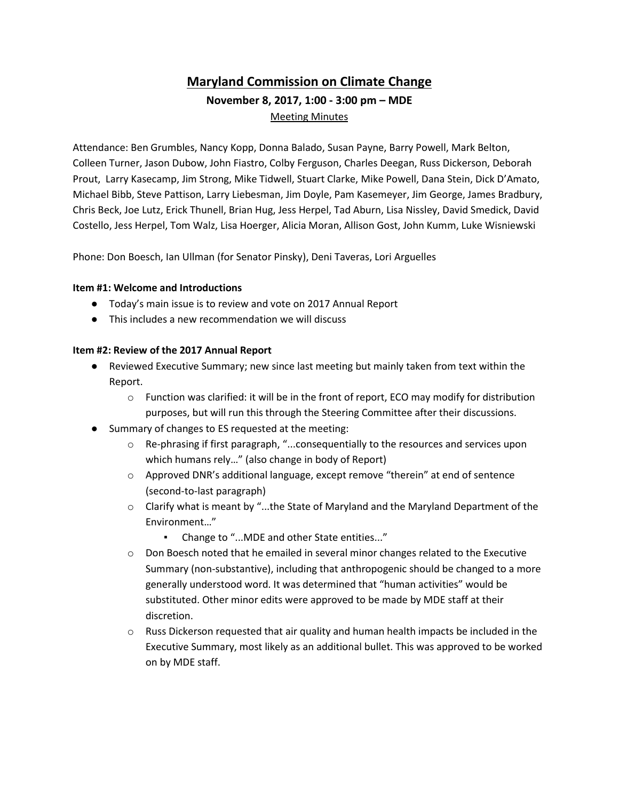# **Maryland Commission on Climate Change November 8, 2017, 1:00 - 3:00 pm – MDE** Meeting Minutes

Attendance: Ben Grumbles, Nancy Kopp, Donna Balado, Susan Payne, Barry Powell, Mark Belton, Colleen Turner, Jason Dubow, John Fiastro, Colby Ferguson, Charles Deegan, Russ Dickerson, Deborah Prout, Larry Kasecamp, Jim Strong, Mike Tidwell, Stuart Clarke, Mike Powell, Dana Stein, Dick D'Amato, Michael Bibb, Steve Pattison, Larry Liebesman, Jim Doyle, Pam Kasemeyer, Jim George, James Bradbury, Chris Beck, Joe Lutz, Erick Thunell, Brian Hug, Jess Herpel, Tad Aburn, Lisa Nissley, David Smedick, David Costello, Jess Herpel, Tom Walz, Lisa Hoerger, Alicia Moran, Allison Gost, John Kumm, Luke Wisniewski

Phone: Don Boesch, Ian Ullman (for Senator Pinsky), Deni Taveras, Lori Arguelles

### **Item #1: Welcome and Introductions**

- Today's main issue is to review and vote on 2017 Annual Report
- This includes a new recommendation we will discuss

### **Item #2: Review of the 2017 Annual Report**

- Reviewed Executive Summary; new since last meeting but mainly taken from text within the Report.
	- $\circ$  Function was clarified: it will be in the front of report, ECO may modify for distribution purposes, but will run this through the Steering Committee after their discussions.
- Summary of changes to ES requested at the meeting:
	- o Re-phrasing if first paragraph, "...consequentially to the resources and services upon which humans rely…" (also change in body of Report)
	- o Approved DNR's additional language, except remove "therein" at end of sentence (second-to-last paragraph)
	- $\circ$  Clarify what is meant by "...the State of Maryland and the Maryland Department of the Environment…"
		- Change to "...MDE and other State entities..."
	- o Don Boesch noted that he emailed in several minor changes related to the Executive Summary (non-substantive), including that anthropogenic should be changed to a more generally understood word. It was determined that "human activities" would be substituted. Other minor edits were approved to be made by MDE staff at their discretion.
	- $\circ$  Russ Dickerson requested that air quality and human health impacts be included in the Executive Summary, most likely as an additional bullet. This was approved to be worked on by MDE staff.